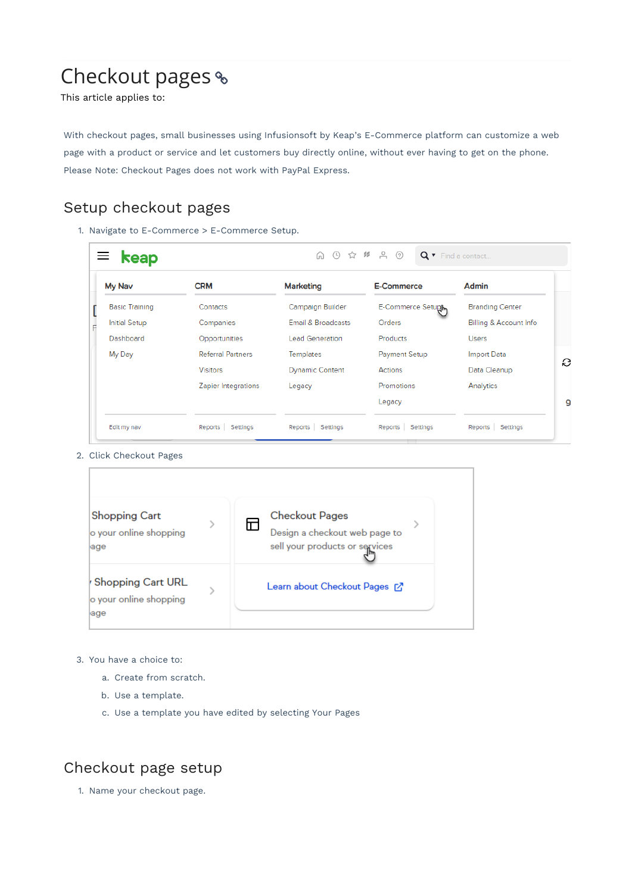# Checkout pages

This article applies to:

With checkout pages, small businesses using Infusionsoft by Keap's E-Commerce platform can customize a web page with a product or service and let customers buy directly online, without ever having to get on the phone. Please Note: Checkout Pages does not work with PayPal Express.

## Setup checkout pages

1. Navigate to E-Commerce > E-Commerce Setup.

| My Nav                | <b>CRM</b>               | <b>Marketing</b>       | <b>E-Commerce</b> | Admin                  |
|-----------------------|--------------------------|------------------------|-------------------|------------------------|
| <b>Basic Training</b> | Contacts                 | Campaign Builder       | E-Commerce Setupl | <b>Branding Center</b> |
| <b>Initial Setup</b>  | Companies                | Email & Broadcasts     | <b>Orders</b>     | Billing & Account Info |
| Dashboard             | Opportunities            | <b>Lead Generation</b> | Products          | <b>Users</b>           |
| My Day                | <b>Referral Partners</b> | Templates              | Payment Setup     | <b>Import Data</b>     |
|                       | <b>Visitors</b>          | <b>Dynamic Content</b> | Actions           | Data Cleanup           |
|                       | Zapier Integrations      | Legacy                 | Promotions        | Analytics              |
|                       |                          |                        | Legacy            |                        |

2. Click Checkout Pages



- 3. You have a choice to:
	- a. Create from scratch.
	- b. Use a template.
	- c. Use a template you have edited by selecting Your Pages

#### Checkout page setup

1. Name your checkout page.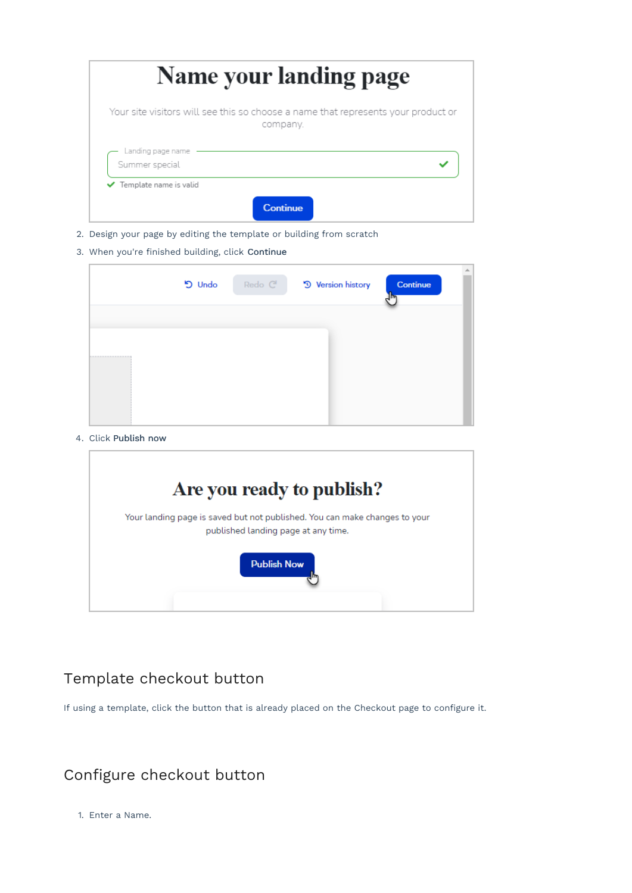| Name your landing page                                                                        |  |  |
|-----------------------------------------------------------------------------------------------|--|--|
| Your site visitors will see this so choose a name that represents your product or<br>company. |  |  |
| Landing page name<br>Summer special                                                           |  |  |
| ✔ Template name is valid<br><b>Continue</b>                                                   |  |  |

- 2. Design your page by editing the template or building from scratch
- 3. When you're finished building, click Continue

|                    | <b>5</b> Undo | Redo <sup>C</sup> | <sup>9</sup> Version history | Continue | 业 |
|--------------------|---------------|-------------------|------------------------------|----------|---|
|                    |               |                   |                              |          |   |
| ------------------ |               |                   |                              |          |   |
|                    |               |                   |                              |          |   |

4. Click Publish now



#### Template checkout button

If using a template, click the button that is already placed on the Checkout page to configure it.

# Configure checkout button

1. Enter a Name.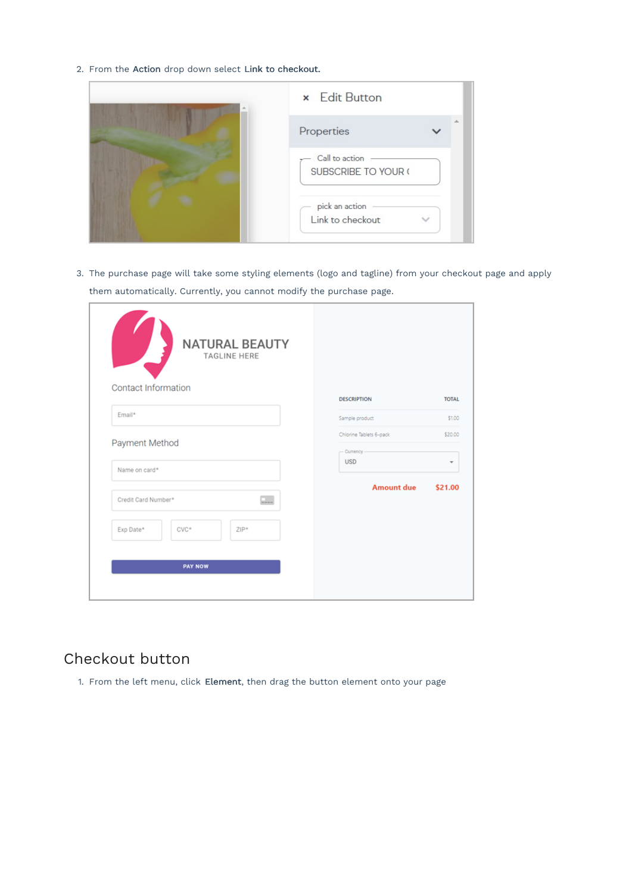2. From the Action drop down select Link to checkout.

| <b>×</b> Edit Button                  |  |
|---------------------------------------|--|
| Properties                            |  |
| Call to action<br>SUBSCRIBE TO YOUR ( |  |
| pick an action<br>Link to checkout    |  |

3. The purchase page will take some styling elements (logo and tagline) from your checkout page and apply them automatically. Currently, you cannot modify the purchase page.

| <b>NATURAL BEAUTY</b><br>TAGLINE HERE<br>Contact Information |                         |              |
|--------------------------------------------------------------|-------------------------|--------------|
|                                                              | <b>DESCRIPTION</b>      | <b>TOTAL</b> |
| Email*                                                       | Sample product          | \$1.00       |
|                                                              | Chlorine Tablets 6-pack | \$20.00      |
| Payment Method                                               | - Currency              |              |
| Name on card*                                                | <b>USD</b>              | ۰            |
|                                                              | <b>Amount due</b>       | \$21.00      |
| $\overline{\phantom{a}}$<br>Credit Card Number*              |                         |              |
| Exp Date*<br>$CVC*$<br>$ZIP*$                                |                         |              |
|                                                              |                         |              |
| <b>PAY NOW</b>                                               |                         |              |
|                                                              |                         |              |

## Checkout button

1. From the left menu, click Element, then drag the button element onto your page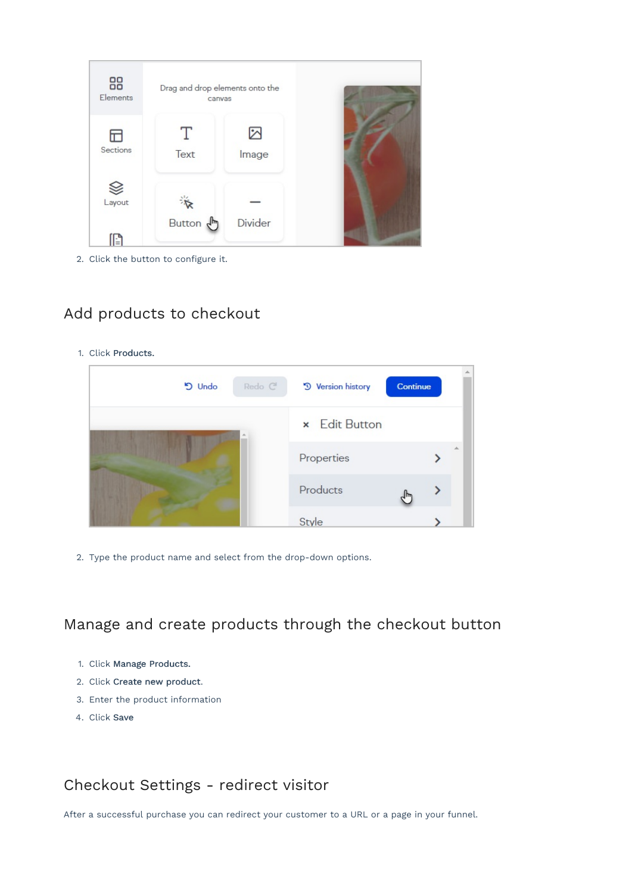

2. Click the button to configure it.

## Add products to checkout

1. Click Products.



2. Type the product name and select from the drop-down options.

Manage and create products through the checkout button

- 1. Click Manage Products.
- 2. Click Create new product.
- 3. Enter the product information
- 4. Click Save

## Checkout Settings - redirect visitor

After a successful purchase you can redirect your customer to a URL or a page in your funnel.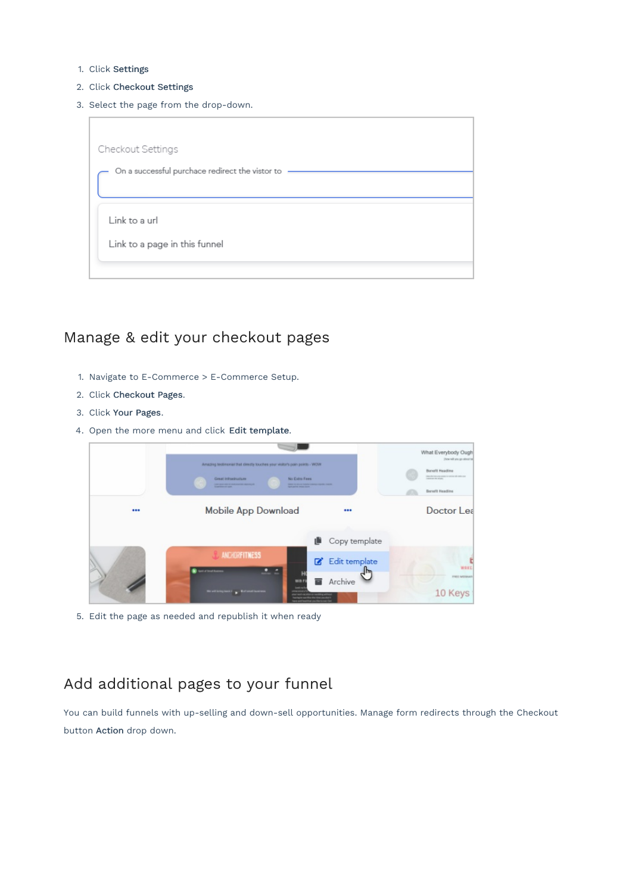- 1. Click Settings
- 2. Click Checkout Settings
- 3. Select the page from the drop-down.



#### Manage & edit your checkout pages

- 1. Navigate to E-Commerce > E-Commerce Setup.
- 2. Click Checkout Pages.
- 3. Click Your Pages.
- 4. Open the more menu and click Edit template.



5. Edit the page as needed and republish it when ready

# Add additional pages to your funnel

You can build funnels with up-selling and down-sell opportunities. Manage form redirects through the Checkout button Action drop down.